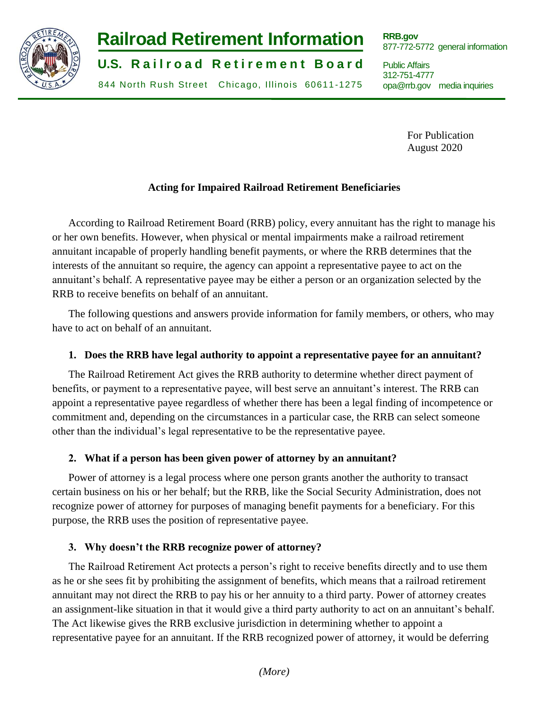

# **-2- Railroad Retirement Information**

**U.S. Railroad Retirement Board** 

844 North Rush Street Chicago, Illinois 60611 -1275

**RRB.gov** 877-772-5772 general information

Public Affairs 312-751-4777 opa@rrb.gov media inquiries

> For Publication August 2020

# **Acting for Impaired Railroad Retirement Beneficiaries**

According to Railroad Retirement Board (RRB) policy, every annuitant has the right to manage his or her own benefits. However, when physical or mental impairments make a railroad retirement annuitant incapable of properly handling benefit payments, or where the RRB determines that the interests of the annuitant so require, the agency can appoint a representative payee to act on the annuitant's behalf. A representative payee may be either a person or an organization selected by the RRB to receive benefits on behalf of an annuitant.

The following questions and answers provide information for family members, or others, who may have to act on behalf of an annuitant.

## **1. Does the RRB have legal authority to appoint a representative payee for an annuitant?**

The Railroad Retirement Act gives the RRB authority to determine whether direct payment of benefits, or payment to a representative payee, will best serve an annuitant's interest. The RRB can appoint a representative payee regardless of whether there has been a legal finding of incompetence or commitment and, depending on the circumstances in a particular case, the RRB can select someone other than the individual's legal representative to be the representative payee.

# **2. What if a person has been given power of attorney by an annuitant?**

Power of attorney is a legal process where one person grants another the authority to transact certain business on his or her behalf; but the RRB, like the Social Security Administration, does not recognize power of attorney for purposes of managing benefit payments for a beneficiary. For this purpose, the RRB uses the position of representative payee.

# **3. Why doesn't the RRB recognize power of attorney?**

The Railroad Retirement Act protects a person's right to receive benefits directly and to use them as he or she sees fit by prohibiting the assignment of benefits, which means that a railroad retirement annuitant may not direct the RRB to pay his or her annuity to a third party. Power of attorney creates an assignment-like situation in that it would give a third party authority to act on an annuitant's behalf. The Act likewise gives the RRB exclusive jurisdiction in determining whether to appoint a representative payee for an annuitant. If the RRB recognized power of attorney, it would be deferring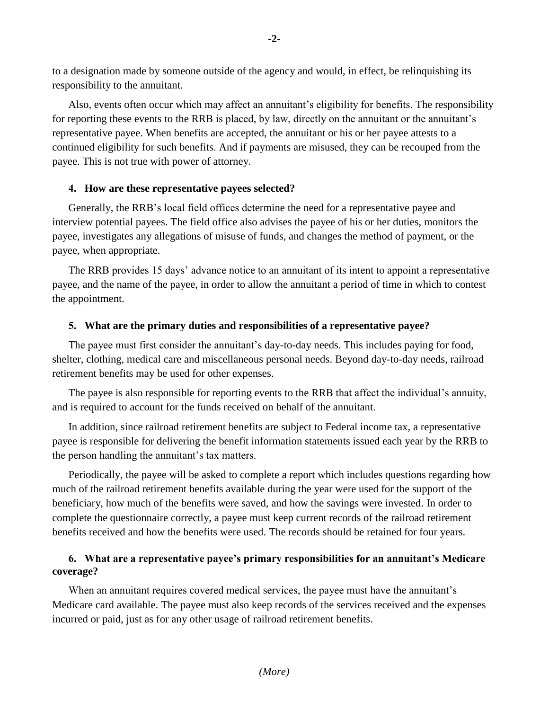to a designation made by someone outside of the agency and would, in effect, be relinquishing its responsibility to the annuitant.

Also, events often occur which may affect an annuitant's eligibility for benefits. The responsibility for reporting these events to the RRB is placed, by law, directly on the annuitant or the annuitant's representative payee. When benefits are accepted, the annuitant or his or her payee attests to a continued eligibility for such benefits. And if payments are misused, they can be recouped from the payee. This is not true with power of attorney.

#### **4. How are these representative payees selected?**

Generally, the RRB's local field offices determine the need for a representative payee and interview potential payees. The field office also advises the payee of his or her duties, monitors the payee, investigates any allegations of misuse of funds, and changes the method of payment, or the payee, when appropriate.

The RRB provides 15 days' advance notice to an annuitant of its intent to appoint a representative payee, and the name of the payee, in order to allow the annuitant a period of time in which to contest the appointment.

#### **5. What are the primary duties and responsibilities of a representative payee?**

The payee must first consider the annuitant's day-to-day needs. This includes paying for food, shelter, clothing, medical care and miscellaneous personal needs. Beyond day-to-day needs, railroad retirement benefits may be used for other expenses.

The payee is also responsible for reporting events to the RRB that affect the individual's annuity, and is required to account for the funds received on behalf of the annuitant.

In addition, since railroad retirement benefits are subject to Federal income tax, a representative payee is responsible for delivering the benefit information statements issued each year by the RRB to the person handling the annuitant's tax matters.

Periodically, the payee will be asked to complete a report which includes questions regarding how much of the railroad retirement benefits available during the year were used for the support of the beneficiary, how much of the benefits were saved, and how the savings were invested. In order to complete the questionnaire correctly, a payee must keep current records of the railroad retirement benefits received and how the benefits were used. The records should be retained for four years.

## **6. What are a representative payee's primary responsibilities for an annuitant's Medicare coverage?**

When an annuitant requires covered medical services, the payee must have the annuitant's Medicare card available. The payee must also keep records of the services received and the expenses incurred or paid, just as for any other usage of railroad retirement benefits.